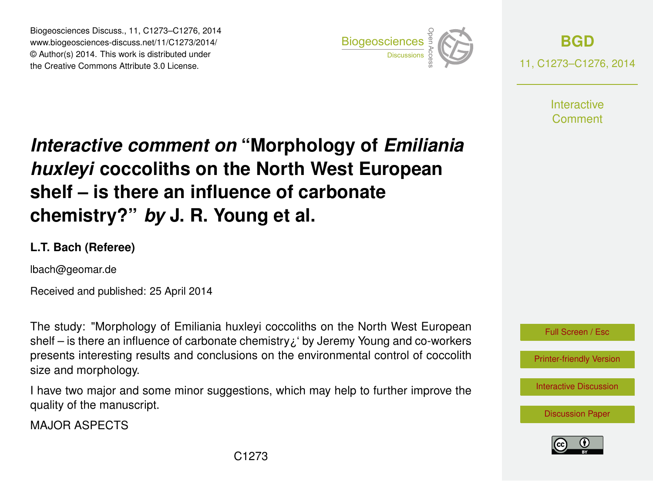Biogeosciences Discuss., 11, C1273–C1276, 2014 www.biogeosciences-discuss.net/11/C1273/2014/ © Author(s) 2014. This work is distributed under Biogeosciences Discuss., 11, C1273–C1276, 2014<br>www.biogeosciences-discuss.net/11/C1273/2014/<br>© Author(s) 2014. This work is distributed under<br>the Creative Commons Attribute 3.0 License.



**[BGD](http://www.biogeosciences-discuss.net)** 11, C1273–C1276, 2014

> **Interactive** Comment

## *Interactive comment on* **"Morphology of** *Emiliania huxleyi* **coccoliths on the North West European shelf – is there an influence of carbonate chemistry?"** *by* **J. R. Young et al.**

## **L.T. Bach (Referee)**

lbach@geomar.de

Received and published: 25 April 2014

The study: "Morphology of Emiliania huxleyi coccoliths on the North West European shelf – is there an influence of carbonate chemistry¿' by Jeremy Young and co-workers presents interesting results and conclusions on the environmental control of coccolith size and morphology.

I have two major and some minor suggestions, which may help to further improve the quality of the manuscript.

MAJOR ASPECTS



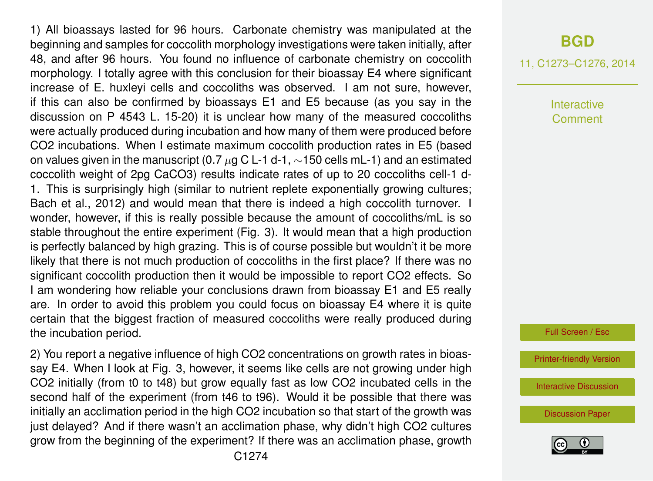1) All bioassays lasted for 96 hours. Carbonate chemistry was manipulated at the beginning and samples for coccolith morphology investigations were taken initially, after 48, and after 96 hours. You found no influence of carbonate chemistry on coccolith morphology. I totally agree with this conclusion for their bioassay E4 where significant increase of E. huxleyi cells and coccoliths was observed. I am not sure, however, if this can also be confirmed by bioassays E1 and E5 because (as you say in the discussion on P 4543 L. 15-20) it is unclear how many of the measured coccoliths were actually produced during incubation and how many of them were produced before CO2 incubations. When I estimate maximum coccolith production rates in E5 (based on values given in the manuscript (0.7  $\mu$ g C L-1 d-1, ~150 cells mL-1) and an estimated coccolith weight of 2pg CaCO3) results indicate rates of up to 20 coccoliths cell-1 d-1. This is surprisingly high (similar to nutrient replete exponentially growing cultures; Bach et al., 2012) and would mean that there is indeed a high coccolith turnover. I wonder, however, if this is really possible because the amount of coccoliths/mL is so stable throughout the entire experiment (Fig. 3). It would mean that a high production is perfectly balanced by high grazing. This is of course possible but wouldn't it be more likely that there is not much production of coccoliths in the first place? If there was no significant coccolith production then it would be impossible to report CO2 effects. So I am wondering how reliable your conclusions drawn from bioassay E1 and E5 really are. In order to avoid this problem you could focus on bioassay E4 where it is quite certain that the biggest fraction of measured coccoliths were really produced during the incubation period.

2) You report a negative influence of high CO2 concentrations on growth rates in bioassay E4. When I look at Fig. 3, however, it seems like cells are not growing under high CO2 initially (from t0 to t48) but grow equally fast as low CO2 incubated cells in the second half of the experiment (from t46 to t96). Would it be possible that there was initially an acclimation period in the high CO2 incubation so that start of the growth was just delayed? And if there wasn't an acclimation phase, why didn't high CO2 cultures grow from the beginning of the experiment? If there was an acclimation phase, growth 11, C1273–C1276, 2014

Interactive Comment

Full Screen / Esc

[Printer-friendly Version](http://www.biogeosciences-discuss.net/11/C1273/2014/bgd-11-C1273-2014-print.pdf)

[Interactive Discussion](http://www.biogeosciences-discuss.net/11/4531/2014/bgd-11-4531-2014-discussion.html)

[Discussion Paper](http://www.biogeosciences-discuss.net/11/4531/2014/bgd-11-4531-2014.pdf)

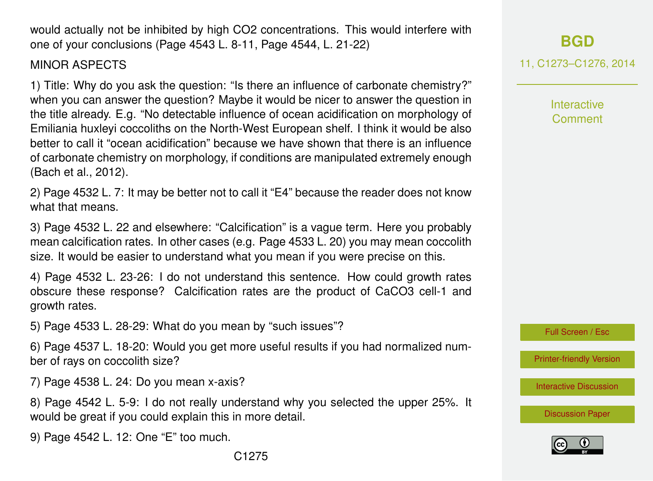C1275

would actually not be inhibited by high CO2 concentrations. This would interfere with one of your conclusions (Page 4543 L. 8-11, Page 4544, L. 21-22)

MINOR ASPECTS

1) Title: Why do you ask the question: "Is there an influence of carbonate chemistry?" when you can answer the question? Maybe it would be nicer to answer the question in the title already. E.g. "No detectable influence of ocean acidification on morphology of Emiliania huxleyi coccoliths on the North-West European shelf. I think it would be also better to call it "ocean acidification" because we have shown that there is an influence of carbonate chemistry on morphology, if conditions are manipulated extremely enough (Bach et al., 2012).

2) Page 4532 L. 7: It may be better not to call it "E4" because the reader does not know what that means.

3) Page 4532 L. 22 and elsewhere: "Calcification" is a vague term. Here you probably mean calcification rates. In other cases (e.g. Page 4533 L. 20) you may mean coccolith size. It would be easier to understand what you mean if you were precise on this.

4) Page 4532 L. 23-26: I do not understand this sentence. How could growth rates obscure these response? Calcification rates are the product of CaCO3 cell-1 and growth rates.

5) Page 4533 L. 28-29: What do you mean by "such issues"?

6) Page 4537 L. 18-20: Would you get more useful results if you had normalized number of rays on coccolith size?

7) Page 4538 L. 24: Do you mean x-axis?

8) Page 4542 L. 5-9: I do not really understand why you selected the upper 25%. It would be great if you could explain this in more detail.

9) Page 4542 L. 12: One "E" too much.

11, C1273–C1276, 2014 Interactive

**[BGD](http://www.biogeosciences-discuss.net)**

Comment

Full Screen / Esc

[Printer-friendly Version](http://www.biogeosciences-discuss.net/11/C1273/2014/bgd-11-C1273-2014-print.pdf)

[Interactive Discussion](http://www.biogeosciences-discuss.net/11/4531/2014/bgd-11-4531-2014-discussion.html)

[Discussion Paper](http://www.biogeosciences-discuss.net/11/4531/2014/bgd-11-4531-2014.pdf)